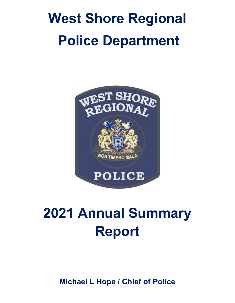# **West Shore Regional Police Department**



## **2021 Annual Summary Report**

**Michael L Hope / Chief of Police**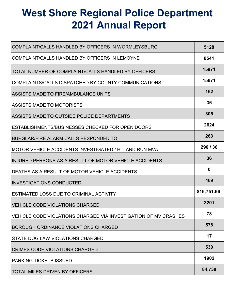## **West Shore Regional Police Department 2021 Annual Report**

| COMPLAINT/CALLS HANDLED BY OFFICERS IN WORMLEYSBURG             | 5128        |
|-----------------------------------------------------------------|-------------|
| COMPLAINT/CALLS HANDLED BY OFFICERS IN LEMOYNE                  | 8541        |
| TOTAL NUMBER OF COMPLAINT/CALLS HANDLED BY OFFICERS             | 15971       |
| COMPLAINTS/CALLS DISPATCHED BY COUNTY COMMUNICATIONS            | 15671       |
| ASSISTS MADE TO FIRE/AMBULANCE UNITS                            | 162         |
| ASSISTS MADE TO MOTORISTS                                       | 36          |
| ASSISTS MADE TO OUTSIDE POLICE DEPARTMENTS                      | 305         |
| ESTABLISHMENTS/BUSINESSES CHECKED FOR OPEN DOORS                | 2624        |
| BURGLAR/FIRE ALARM CALLS RESPONDED TO                           | 263         |
| IMOTOR VEHICLE ACCIDENTS INVESTIGATED / HIT AND RUN MVA         | 290/36      |
| IINJURED PERSONS AS A RESULT OF MOTOR VEHICLE ACCIDENTS         | 36          |
| DEATHS AS A RESULT OF MOTOR VEHICLE ACCIDENTS                   | $\mathbf 0$ |
| <b>INVESTIGATIONS CONDUCTED</b>                                 | 469         |
| ESTIMATED LOSS DUE TO CRIMINAL ACTIVITY                         | \$16,751.66 |
| VEHICLE CODE VIOLATIONS CHARGED                                 | 3201        |
| VEHICLE CODE VIOLATIONS CHARGED VIA INVESTIGATION OF MV CRASHES | 78          |
| BOROUGH ORDINANCE VIOLATIONS CHARGED                            | 578         |
| STATE DOG LAW VIOLATIONS CHARGED                                | 17          |
| <b>CRIMES CODE VIOLATIONS CHARGED</b>                           | 530         |
| <b>PARKING TICKETS ISSUED</b>                                   | 1902        |
| <b>TOTAL MILES DRIVEN BY OFFICERS</b>                           | 84,738      |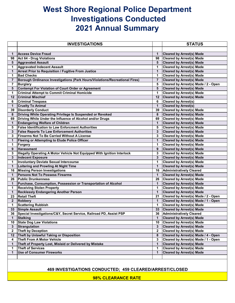### **West Shore Regional Police Department Investigations Conducted 2021 Annual Summary**

|                 | <b>INVESTIGATIONS</b>                                                       |                 | <b>STATUS</b>                        |
|-----------------|-----------------------------------------------------------------------------|-----------------|--------------------------------------|
|                 |                                                                             |                 |                                      |
| 1               | <b>Access Device Fraud</b>                                                  | $\mathbf 1$     | <b>Cleared by Arrest(s) Made</b>     |
| 98              | Act 64 - Drug Violations                                                    | 98              | <b>Cleared by Arrest(s) Made</b>     |
| 5               | <b>Aggravated Assault</b>                                                   | 5               | <b>Cleared by Arrest(s) Made</b>     |
| 1               | <b>Aggravated Indecent Assault</b>                                          | 1.              | <b>Cleared by Arrest(s) Made</b>     |
| 1               | <b>Arrest Prior to Requisition / Fugitive From Justice</b>                  | $\mathbf 1$     | <b>Cleared by Arrest(s) Made</b>     |
| 1               | <b>Bad Checks</b>                                                           | 1.              | <b>Cleared by Arrest(s) Made</b>     |
| $\overline{7}$  | Borough Ordinance Investigations (Park Hours/Violations/Recreational Fires) | $\overline{7}$  | <b>Cleared by Arrest(s) Made</b>     |
| $\overline{7}$  | <b>Burglary</b>                                                             | 5               | Cleared by Arrest(s) Made / 2 - Open |
| 5               | Contempt For Violation of Court Order or Agreement                          | 5               | <b>Cleared by Arrest(s) Made</b>     |
| 1               | <b>Criminal Attempt to Commit Criminal Homicide</b>                         | 1               | <b>Cleared by Arrest(s) Made</b>     |
| 12              | <b>Criminal Mischief</b>                                                    | 12 <sup>2</sup> | <b>Cleared by Arrest(s) Made</b>     |
| 6               | <b>Criminal Trespass</b>                                                    | 6               | <b>Cleared by Arrest(s)</b>          |
| $\mathbf{1}$    | <b>Cruelty To Animal</b>                                                    | $\mathbf 1$     | <b>Cleared by Arrest(s)</b>          |
| 39              | <b>Disorderly Conduct</b>                                                   | 39              | <b>Cleared by Arrest(s) Made</b>     |
| 8               | Driving While Operating Privilege Is Suspended or Revoked                   | 8               | <b>Cleared by Arrest(s) Made</b>     |
| 69              | Driving While Under the Influence of Alcohol and/or Drugs                   | 69              | <b>Cleared by Arrest(s) Made</b>     |
| $\mathbf{1}$    | <b>Endangering Welfare of Children</b>                                      | $\mathbf{1}$    | <b>Cleared by Arrest(s) Made</b>     |
| 5               | <b>False Identification to Law Enforcment Authorities</b>                   | 5               | <b>Cleared by Arrest(s) Made</b>     |
| 3               | <b>False Reports To Law Enforcement Authorities</b>                         | $\mathbf{3}$    | <b>Cleared by Arrest(s) Made</b>     |
| 3               | <b>Firearms Not To Be Carried Without A License</b>                         | $\mathbf{3}$    | <b>Cleared by Arrest(s) Made</b>     |
| $\mathbf 1$     | Fleeing or Attempting to Elude Police Officer                               | $\mathbf 1$     | <b>Cleared by Arrest(s) Made</b>     |
| 1               | Forgery                                                                     | 1               | <b>Cleared by Arrest(s) Made</b>     |
| 9               | <b>Harassment</b>                                                           | 9               | <b>Cleared by Arrest(s) Made</b>     |
| 3               | Illegally Operating A Motor Vehicle Not Equipped With Ignition Interlock    | $\mathbf{3}$    | <b>Cleared by Arrest(s) Made</b>     |
| $3\phantom{a}$  | <b>Indecent Exposure</b>                                                    | 3 <sup>1</sup>  | <b>Cleared by Arrest(s) Made</b>     |
| 1               | Involuntary Deviate Sexual Intercourse                                      | $\mathbf 1$     | <b>Cleared by Arrest(s) Made</b>     |
| $\mathbf{1}$    | Loitering and Prowling At Night Time                                        | $\mathbf{1}$    | <b>Cleared by Arrest(s) Made</b>     |
| 16              | <b>Missing Person Investigations</b>                                        | 16              | <b>Administratively Cleared</b>      |
| $\mathbf 1$     | <b>Persons Not To Possess Firearms</b>                                      | $\mathbf 1$     | <b>Cleared by Arrest(s) Made</b>     |
| 26              | <b>Public Drunkenness</b>                                                   | 26              | <b>Cleared by Arrest(s) Made</b>     |
| 1               | Purchase, Consumption, Possession or Transportation of Alcohol              | 1.              | <b>Cleared by Arrest(s) Made</b>     |
| 1               | <b>Receiving Stolen Property</b>                                            | 1               | <b>Cleared by Arrest(s) Made</b>     |
| $\mathbf 1$     | <b>Recklessly Endangering Another Person</b>                                | $\mathbf{1}$    | <b>Cleared by Arrest(s) Made</b>     |
| 23              | <b>Retail Theft</b>                                                         | 21              | Cleared by Arrest(s) Made / 2 - Open |
| $\mathbf{2}$    | <b>Robbery</b>                                                              | $\mathbf 1$     | Cleared by Arrest(s) Made / 1 - Open |
| 1               | <b>Scattering Rubbish</b>                                                   | 1               | <b>Cleared by Arrest(s) Made</b>     |
| 33              | <b>Simple Assault</b>                                                       | 33 <sup>°</sup> | <b>Cleared by Arrest(s) Made</b>     |
| 36              | Special Investigations/C&Y, Secret Service, Railroad PD, Assist PSP         |                 | 36 Administratively Cleared          |
| $\mathbf 1$     | <b>Stalking</b>                                                             | $\mathbf 1$     | <b>Cleared by Arrest(s) Made</b>     |
| 10 <sup>°</sup> | <b>State Dog Law Violations</b>                                             | 10              | <b>Cleared by Arrest(s) Made</b>     |
| 3               | Strangulation                                                               | 3 <sup>1</sup>  | <b>Cleared by Arrest(s) Made</b>     |
| $\mathbf{2}$    | <b>Theft by Deception</b>                                                   | $2^{\circ}$     | <b>Cleared by Arrest(s) Made</b>     |
| 12              | Theft by Unlawful Taking or Disposition                                     | 8               | Cleared by Arrest(s) Made / 4 - Open |
| 4               | <b>Theft From A Motor Vehicle</b>                                           | 3               | Cleared by Arrest(s) Made / 1 - Open |
| 1               | Theft of Property Lost, Mislaid or Delivered by Mistake                     | $\mathbf 1$     | <b>Cleared by Arrest(s) Made</b>     |
| 1               | <b>Theft of Services</b>                                                    | 1               | <b>Cleared by Arrest(s) Made</b>     |
| $\mathbf{1}$    | <b>Use of Consumer Fireworks</b>                                            | 1               | <b>Cleared by Arrest(s) Made</b>     |
|                 |                                                                             |                 |                                      |
|                 |                                                                             |                 |                                      |

#### **469 INVESTIGATIONS CONDUCTED; 459 CLEARED/ARREST/CLOSED**

**98% CLEARANCE RATE**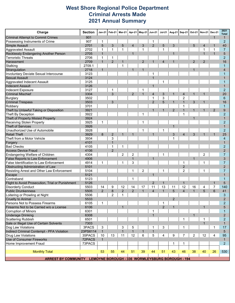#### **West Shore Regional Police Department Criminal Arrests Made 2021 Annual Summary**

| Charge                                           | <b>Section</b> | <b>Jan-21</b>  | Feb-21         | <b>Mar-21</b>  |                | Apr-21   May-21 | <b>Jun-21</b>                                    | <b>Jul-21</b>  | Aug-21         | Sep-21         | Oct-21         | <b>Nov-21</b>  | <b>Dec-21</b>  | 2021<br><b>Total</b> |
|--------------------------------------------------|----------------|----------------|----------------|----------------|----------------|-----------------|--------------------------------------------------|----------------|----------------|----------------|----------------|----------------|----------------|----------------------|
| <b>Criminal Attempt to Commit Crimes</b>         | 901            |                |                |                |                |                 |                                                  |                |                |                |                |                | $\mathbf{1}$   | $\mathbf{1}$         |
| Possessing Instruments of Crime                  | 907            | 1              |                |                |                |                 | 1                                                |                |                |                |                |                |                | $\overline{2}$       |
| Simple Assault                                   | 2701           | 5              | 3              | 5              | $\overline{4}$ | 3               | $\overline{2}$                                   | 5              | 3              |                | 5              | $\overline{4}$ | $\mathbf{1}$   | 40                   |
| <b>Aggravated Assault</b>                        | 2702           | 1              | 1              | 1              |                | 1               |                                                  | 1              |                |                |                | 1              | 1              | 7                    |
| Recklessly Endangering Another Person            | 2705           | $\mathbf{1}$   |                |                | $\mathbf{1}$   |                 |                                                  |                | $\mathbf{1}$   |                |                | $\mathbf{1}$   | $\mathbf{1}$   | $\sqrt{5}$           |
| <b>Terroristic Threats</b>                       | 2706           | $\mathbf{1}$   | 1              |                |                |                 |                                                  |                |                |                |                |                |                | $\overline{2}$       |
| <b>Harassment</b>                                | 2709           | $\mathbf{1}$   | $\overline{2}$ | $\mathbf{1}$   |                | $\overline{2}$  | $\mathbf{1}$                                     | $\overline{4}$ | $\mathbf{1}$   |                | $\overline{2}$ | $\overline{2}$ |                | 16                   |
| Stalking                                         | 2709.1         |                |                | 1              |                |                 |                                                  |                |                |                |                |                |                | $\mathbf 1$          |
| Strangulation                                    | 2718           | $\mathbf{1}$   |                |                | $\mathbf{1}$   | $\mathbf{1}$    |                                                  |                |                |                | $\mathbf{1}$   |                |                | 4                    |
| Involuntary Deviate Sexual Intercourse           | 3123           |                |                |                |                |                 | 1                                                |                |                |                |                |                |                |                      |
| <b>Sexual Assault</b>                            | 3124           |                |                |                |                |                 | $\mathbf{1}$                                     |                |                |                |                |                |                |                      |
| Aggravated Indecent Assault                      | 3125           |                |                |                |                |                 |                                                  |                |                |                |                |                |                |                      |
| <b>Indecent Assault</b>                          | 3126           |                |                |                |                |                 | $\mathbf{1}$                                     |                |                |                |                |                |                |                      |
| Indecent Exposure                                | 3127           |                | 1              |                |                | 1               |                                                  |                |                |                |                |                |                | $\overline{2}$       |
| <b>Criminal Mischief</b>                         | 3304           |                | 3              |                | 2              | $\mathbf{1}$    |                                                  |                |                |                | $\mathbf{1}$   | $\mathbf{1}$   |                | 20                   |
|                                                  |                |                |                |                |                |                 | $\overline{4}$                                   | 3              | $\mathbf{1}$   | $\overline{4}$ |                |                |                |                      |
| <b>Burglary</b>                                  | 3502           |                |                |                |                |                 | 1                                                | 3              |                | $\overline{2}$ |                |                |                | 6                    |
| <b>Criminal Trespass</b>                         | 3503           |                | 3              |                |                |                 | $\overline{2}$                                   | 5              | $\mathbf{1}$   | $\mathbf{1}$   | 3              | $\mathbf{1}$   |                | 16                   |
| Robbery                                          | 3701           |                |                |                |                |                 |                                                  |                |                | $\mathbf{1}$   |                |                |                | $\mathbf{1}$         |
| Theft by Unlawful Taking or Disposition          | 3921           |                |                |                |                |                 | $\mathbf{1}$                                     | $\mathbf{1}$   | $\overline{2}$ | $\mathbf{1}$   | $\mathbf{1}$   | $\mathbf{1}$   | $\overline{2}$ | 9                    |
| Theft By Deception                               | 3922           |                |                |                |                | 1               |                                                  |                |                | 1              |                |                |                | $\overline{2}$       |
| Theft of Property Mislaid Property               | 3924           |                |                |                |                |                 |                                                  |                |                |                | $\mathbf{1}$   |                |                | $\overline{1}$       |
| <b>Receiving Stolen Property</b>                 | 3925           | $\mathbf 1$    |                |                |                | 1               |                                                  |                |                |                |                |                |                | $\overline{2}$       |
| <b>Theft of Services</b>                         | 3926           |                |                |                |                |                 |                                                  |                | $\mathbf{1}$   |                |                |                |                | $\overline{1}$       |
| Unauthorized Use of Automobile                   | 3928           |                |                |                |                | 1               |                                                  | 1              |                |                |                |                |                | $\overline{2}$       |
| <b>Retail Theft</b>                              | 3929           | 8              | $\overline{2}$ | 1              | $\mathbf{1}$   |                 | 1                                                |                | 3              | $\overline{4}$ | 3              | 1              | $\mathbf{1}$   | 25                   |
| Theft from a Motor Vehicle                       | 3934           |                | 3              |                |                |                 |                                                  |                | 1              |                |                |                |                | $\overline{4}$       |
| Forgery                                          | 4101           |                | $\mathbf{1}$   |                |                |                 |                                                  |                |                |                |                |                |                | $\mathbf{1}$         |
| <b>Bad Checks</b>                                | 4105           |                | 1              | 1              |                |                 |                                                  |                |                |                |                |                |                | $\overline{2}$       |
| <b>Access Device Fraud</b>                       | 4106           |                | $\overline{2}$ |                |                |                 |                                                  |                |                |                |                |                |                | $\overline{2}$       |
| Endangering Welfare of Children                  | 4304           |                |                | 2              | $\overline{c}$ |                 |                                                  |                |                |                |                | 2              |                | $\overline{7}$       |
| <b>False Reports to Law Enforcement</b>          | 4906           |                |                |                | $\mathbf{1}$   |                 | $\mathbf{1}$                                     |                |                |                | $\mathbf{1}$   |                |                | 3                    |
| False Identification to Law Enforcement          | 4914           | 1              |                | 1              | 3              |                 |                                                  |                |                | 1              |                | 1              |                | $\overline{7}$       |
| Obstructing Administration of Law                | 5101           |                |                |                |                |                 |                                                  |                |                | $\overline{2}$ |                |                |                | $\overline{2}$       |
| Resisting Arrest and Other Law Enforcement       | 5104           |                |                |                | 1              | 2               |                                                  | 1              |                | $\overline{2}$ |                | 1              |                | 7                    |
| <b>Escape</b>                                    | 5121           |                |                |                |                |                 | $\mathbf{1}$                                     |                |                |                |                |                |                |                      |
| Contraband                                       | 5123           |                |                |                | 1              |                 |                                                  |                |                |                |                |                |                | 1                    |
| Flight to Avoid Prosecution, Trial or Punishment | 5126           |                |                |                |                |                 | $\overline{2}$                                   | $\mathbf{1}$   |                | $\mathbf{1}$   |                |                | $\mathbf{1}$   | 5                    |
| <b>Disorderly Conduct</b>                        | 5503           | 14             | 9              | 12             | 14             | 17              | 11                                               | 13             | 11             | 12             | 16             | 4              | $\overline{7}$ | 140                  |
| <b>Public Drunkenness</b>                        | 5505           | $\overline{2}$ | 8              | $\overline{2}$ | 2              | $\mathbf{1}$    | $\overline{4}$                                   | $\mathbf{1}$   | 5              | $\overline{4}$ | $\mathbf{1}$   | 5              | 6              | 41                   |
| Loitering or Prowling at Night                   | 5506           |                | 2              | 1              |                |                 |                                                  |                |                |                |                |                |                | 3                    |
| <b>Cruelty to Animal</b>                         | 5533           |                |                |                |                |                 |                                                  |                | $\overline{2}$ |                |                |                |                | $\mathcal{P}$        |
| Persons Not to Possess Firearms                  | 6105           | 1              |                |                |                |                 |                                                  |                |                |                |                |                |                | $\overline{2}$       |
| Firearms Not to be Carried w/o a License         | 6106           |                |                | $\mathbf{1}$   |                |                 |                                                  | $\overline{2}$ | $\mathbf{1}$   |                |                | $\mathbf{1}$   |                | 5                    |
|                                                  |                |                |                |                |                |                 |                                                  |                |                |                |                |                |                |                      |
| <b>Corruption of Minors</b>                      | 6301           |                |                |                |                |                 | 1                                                |                |                |                |                |                |                | 1                    |
| <b>Underage Drinking</b>                         | 6308           |                |                |                |                |                 | $\mathbf{1}$                                     |                |                |                | $\mathbf{1}$   |                |                | $\overline{2}$       |
| Scattering Rubbish                               | 6501           |                |                |                |                |                 |                                                  |                |                | 1              |                | 1              |                | 2                    |
| Sale or Illegal Use of Certain Solvents          | 7303           |                |                |                |                |                 |                                                  |                |                |                |                | $\mathbf{1}$   |                | $\mathbf{1}$         |
| Dog Law Violations                               | 3PACS          | 3              |                | 3              | 5              |                 | 1                                                | 3              |                |                |                |                |                | 17                   |
| Indirect Criminal Contempt - PFA Violation       | 23PS6114       | $\mathbf{1}$   |                | $\mathbf{1}$   | $\mathbf{1}$   | $\mathbf{1}$    | $\mathbf{1}$                                     |                |                |                |                |                |                | 5                    |
| <b>Drug Law Violations</b>                       | 35PACS         | 10             | 13             | 11             | 12             | 6               | 5                                                | 4              | 9              | $\overline{7}$ | $\overline{2}$ | 12             | 4              | 95                   |
| Use of Consumer Fireworks                        | 72PACS         | $\mathbf{1}$   |                |                |                |                 |                                                  |                |                |                |                |                |                | $\mathbf{1}$         |
| Home Improvement Fraud                           | 73PACS         |                |                |                |                |                 |                                                  |                | 1              | 1              |                |                |                | 2                    |
|                                                  |                |                |                |                |                |                 |                                                  |                |                |                |                |                |                |                      |
| <b>Monthly Total</b>                             |                | 53             | 55             | 44             | 51             | 39              | 44                                               | 51             | 43             | 46             | 38             | 40             | 26             | 530                  |
|                                                  |                |                |                |                |                |                 |                                                  |                |                |                |                |                |                |                      |
| <b>ARREST BY COMMUNITY</b>                       |                |                |                |                |                |                 | LEMOYNE BOROUGH - 336 WORMLEYSBURG BOROUGH - 194 |                |                |                |                |                |                |                      |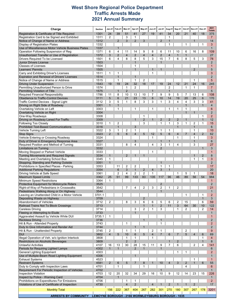#### **West Shore Regional Police Department Traffic Arrests Made 2021 Annual Summary**

| Charge                                                                               | Section                                            | Jan-21         | Feb-21                | <b>Mar-21</b>       | Apr-21               | <b>May-21</b>       | <b>Jun-21</b>       | <b>Jul-21</b>        | Aug-21                           | <b>Sep-21</b>     | Oct-21            | <b>Nov-21</b>     | Dec-21          | 2021                  |
|--------------------------------------------------------------------------------------|----------------------------------------------------|----------------|-----------------------|---------------------|----------------------|---------------------|---------------------|----------------------|----------------------------------|-------------------|-------------------|-------------------|-----------------|-----------------------|
| Registration & Certificate of Title Required                                         | 1301                                               | 24             | 39                    | 51                  | 41                   | 27                  | 19                  | 41                   | 34                               | 20                | 21                | 40                | 18              | <b>Totals</b><br>375  |
| Registration Card to be Signed and Exhibited                                         | 1311                                               | 2              |                       | 3                   | 1                    |                     |                     |                      | 1                                |                   |                   |                   |                 | $\overline{7}$        |
| Notice of Change of Name or Address                                                  | 1312                                               |                | 2                     | 3                   | 2                    | 3                   |                     | $\overline{2}$       | $\mathbf{1}$                     |                   |                   | $\mathbf{1}$      |                 | 14                    |
| Display of Registration Plates                                                       | 1332                                               |                |                       |                     |                      |                     |                     |                      | 1                                |                   | 1                 |                   | 1               | 3                     |
| Use of Miscellaneous Motor Vehicle Business Plates                                   | 1337                                               |                | $\mathbf{1}$          |                     |                      |                     |                     |                      |                                  |                   |                   |                   |                 | $\mathbf{1}$          |
| Operation Following Suspension of Reg                                                | 1371                                               | 6              | $\overline{4}$        | 11                  | 14                   | 9                   | 8                   | 6                    | 11                               | 10                | 6                 | 16                | 8               | 109                   |
| Unauthorized Transfer or Use of Registration<br>Drivers Required To be Licensed      | 1372<br>1501                                       | 3<br>6         | $\overline{2}$<br>4   | $\overline{4}$<br>8 | $\overline{2}$<br>8  | $\overline{4}$<br>5 | $\overline{4}$<br>3 | $\overline{2}$<br>15 | $\overline{4}$<br>$\overline{7}$ | $\mathbf{1}$<br>6 | $\mathbf{1}$<br>8 | 5                 | 3               | 27<br>78              |
| <b>Junior Drivers License</b>                                                        | 1503                                               |                |                       |                     | $\mathbf{1}$         |                     |                     | $\mathbf{1}$         |                                  |                   |                   |                   |                 | $\overline{2}$        |
| Classes of Licenses                                                                  | 1504                                               |                |                       |                     | 1                    |                     |                     |                      |                                  |                   |                   |                   |                 | 1                     |
| Learners' Permits                                                                    | 1505                                               |                |                       |                     | $\mathbf{1}$         |                     | $\mathbf{1}$        | $\mathbf{1}$         |                                  |                   |                   | $\overline{2}$    |                 | 5                     |
| Carry and Exhibiting Driver's Licenses                                               | 1511                                               | $\mathbf{1}$   | 1                     |                     |                      |                     | 1                   |                      |                                  |                   |                   |                   |                 | 3                     |
| <b>Expiration and Renewal of Drivers' Licenses</b>                                   | 1514                                               |                | $\mathbf{1}$          |                     | $\mathbf{1}$         |                     |                     |                      |                                  |                   |                   |                   |                 | $\overline{2}$        |
| Notice of Change of Name or Address                                                  | 1515                                               |                | $\mathbf{1}$          |                     | $\mathbf{1}$         | 2                   |                     |                      |                                  |                   |                   | 1                 |                 | 5                     |
| <b>Driving Under Suspension</b><br>Permitting Unauthorized Person to Drive           | 1543<br>1574                                       | 19             | 19                    | 24<br>1             | 32<br>$\overline{2}$ | 18                  | 17                  | 19                   | 24<br>2                          | 12                | 21<br>1           | 24<br>1           | 16              | 245<br>$\overline{7}$ |
| Permitting Violation of Title                                                        | 1575                                               |                | $\mathbf{1}$          | $\overline{2}$      |                      |                     | $\mathbf{1}$        |                      | $\mathbf{1}$                     |                   |                   |                   |                 | 5                     |
| <b>Required Financial Responsibility</b>                                             | 1786                                               | 11             | 8                     | 10                  | 13                   | 10                  | $\overline{7}$      | 9                    | 9                                | 5                 | $\overline{7}$    | 13                | 6               | 108                   |
| Obedience to Traffic-Control Devices                                                 | 3111                                               | 5              | $6\phantom{1}$        | 21                  | 23                   | 13                  | 8                   | 10                   | 14                               | 19                | 20                | 25                | $6\phantom{1}$  | 170                   |
| Traffic Control Devices - Signal Light                                               | 3112                                               | 3              | 5                     | 1                   | 8                    | 3                   | 3                   | 1                    | 3                                | 4                 | 4                 | 3                 | 3               | 41                    |
| Driving on Right Side of Roadway                                                     | 3301                                               | $\mathbf{1}$   | $\mathbf{1}$          |                     |                      |                     |                     |                      |                                  |                   | $\mathbf{1}$      |                   | $\mathbf{1}$    | $\overline{4}$        |
| Overtaking Vehicle on Left                                                           | 3303                                               |                | 1                     |                     | 1                    |                     | 1                   |                      | 1                                | 1                 | 1                 |                   |                 | 6<br>$\overline{2}$   |
| Overtaking Vehicle on Right<br>One-Way Roadways                                      | 3304<br>3308                                       |                |                       |                     |                      | 1                   |                     |                      |                                  |                   | $\mathbf{1}$      | $\mathbf{1}$      | 1               | $\overline{2}$        |
| Driving on Roadway Laned For Traffic                                                 | 3309                                               |                |                       |                     | $\mathbf{1}$         | $\overline{2}$      | $\mathbf{1}$        | $\overline{2}$       | $\overline{2}$                   | $\overline{2}$    | $\mathbf{1}$      |                   | $\mathbf{1}$    | 12                    |
| <b>Following Too Closely</b>                                                         | 3310                                               | $\mathbf{1}$   | $\overline{2}$        |                     |                      | 3                   |                     | 1                    | $\mathbf{1}$                     | 3                 | 1                 | $\overline{2}$    | $\mathbf{1}$    | 15                    |
| <b>Prohibited Text-Based Communications</b>                                          | 3316                                               |                | $\mathbf{1}$          |                     | 3                    |                     |                     |                      |                                  | $\mathbf{1}$      |                   | $\mathbf{1}$      |                 | 6                     |
| <b>Vehicle Turning Left</b>                                                          | 3322                                               | 3              | $\mathbf{1}$          | 2                   | $\mathbf{1}$         |                     |                     | 1                    | 1                                |                   |                   | 1                 |                 | 10                    |
| <b>Stop Signs</b>                                                                    | 3323                                               | $\overline{2}$ | 5                     | 6                   | $\overline{4}$       | 5                   | 12                  | 5                    | 6                                | $\overline{4}$    | $\overline{7}$    | $\overline{4}$    | 2               | 62                    |
| Vehicle Entering or Crossing Roadway                                                 | 3324                                               |                |                       |                     |                      |                     | 1                   |                      |                                  | $\mathbf{1}$      |                   | $\mathbf{1}$      |                 | 3                     |
| Duty of Driver in Emergency Response Area<br>Required Position and Method of Turning | 3327<br>3331                                       |                |                       | 8                   | 3<br>4               |                     | 4                   | 1<br>3               | $\mathbf 1$<br>1                 | 4                 |                   | $\mathbf{1}$<br>3 |                 | 6<br>27               |
| <b>Limitations on Turning</b>                                                        | 3332                                               |                |                       |                     |                      |                     |                     | $\overline{2}$       |                                  |                   |                   |                   | $\mathbf{1}$    | 3                     |
| Moving Stopped or Parked Vehicle                                                     | 3333                                               |                |                       |                     |                      |                     | 1                   |                      |                                  |                   |                   |                   |                 | $\mathbf{1}$          |
| Turning Movements and Required Signals                                               | 3334                                               | $\mathbf{1}$   |                       | $\overline{2}$      | $\mathbf{1}$         | $\mathbf{1}$        |                     |                      |                                  |                   |                   | $\mathbf{1}$      | 2               | 8                     |
| Meeting and Overtaking School Bus                                                    | 3345                                               | $\mathbf{1}$   |                       |                     |                      |                     |                     |                      |                                  |                   |                   | 1                 | 1               | 3                     |
| Stopping, Standing and Parking Outside                                               | 3351                                               | $\mathbf{1}$   |                       |                     |                      |                     |                     | $\mathbf{1}$         |                                  |                   |                   |                   |                 | $\overline{2}$        |
| Prohibitions in Specified Places - Parking                                           | 3353                                               |                | 11<br>$6\phantom{1}6$ | 2<br>3              | 2<br>$\mathbf{1}$    | $\overline{2}$      | $\overline{4}$      | 1<br>3               | 1<br>$\mathbf{1}$                |                   |                   |                   |                 | 17                    |
| <b>Additional Parking Regulations</b><br>Driving Vehicle at Safe Speed               | 3354<br>3361                                       |                | $\overline{2}$        | 4                   | 2                    | $\overline{2}$      | $\mathbf{1}$        |                      |                                  | 1                 | 5                 | $\mathbf{1}$      |                 | 20<br>18              |
| <b>Maximum Speed Limits</b>                                                          | 3362                                               | 25             | 51                    | 99                  | 133                  | 83                  | 135                 | 117                  | 96                               | 46                | 89                | 56                | 54              | 984                   |
| Minimum Speed Restrictions                                                           | 3364                                               | $\mathbf{1}$   |                       |                     |                      |                     |                     |                      |                                  |                   |                   |                   |                 | 1                     |
| Protective Equipment for Motorcycle Riders                                           | 3525                                               |                |                       |                     |                      |                     |                     | $\overline{2}$       |                                  |                   |                   |                   |                 | 2                     |
| Right-of-Way of Pedestrians in Crosswalks                                            | 3542                                               |                |                       |                     | 4                    | 2                   | 3                   | $\overline{2}$       | 1                                | $\overline{2}$    |                   |                   |                 | 21                    |
| Pedestrians Walking Along or On Highway                                              | 3544                                               |                |                       |                     |                      |                     |                     | $\mathbf{1}$         |                                  |                   |                   |                   |                 |                       |
| Leaving an Unattended Child in a Motor Vehicle<br>Depositing Waste on Highway        | 3701.1<br>3709                                     |                |                       |                     |                      | $\overline{2}$      |                     |                      |                                  |                   | 1                 |                   | 1<br>1          | $\overline{2}$<br>3   |
| Abandonment of Vehicles                                                              | 3712                                               | 2              |                       | 8                   | 3                    | 6                   | 6                   | 5                    | 6                                | 2                 | 15                |                   | 6               | 59                    |
| Railroad Trains Not To Block Crossings                                               | 3713                                               |                |                       |                     |                      | $\mathbf{1}$        | $\mathbf{1}$        | $\overline{2}$       | 11                               | 3                 | 64                | 30                | 10              | 122                   |
| <b>Careless Driving</b>                                                              | 3714                                               |                |                       |                     | 3                    | $\overline{2}$      | 1                   | 3                    |                                  | 1                 | 2                 |                   | $\overline{2}$  | 14                    |
| Fleeing or Attempting to Elude                                                       | 3733                                               |                |                       |                     | $\mathbf{1}$         |                     |                     |                      |                                  |                   |                   |                   |                 | 1                     |
| Aggravated Assault by Vehicle While DUI                                              | 3735.1                                             | 1              |                       |                     |                      |                     |                     |                      |                                  |                   |                   |                   |                 | 1                     |
| <b>Reckless Driving</b>                                                              | 3736<br>3743                                       |                |                       | 1                   |                      | $\mathbf{1}$        |                     | 1<br>$\mathbf{1}$    |                                  |                   |                   |                   |                 | 2<br>$\overline{2}$   |
| Hit & Run - Attended Property<br>Duty to Give Information and Render Aid             | 3744                                               |                |                       |                     | $\mathbf{1}$         | $\mathbf{1}$        |                     |                      |                                  |                   |                   |                   |                 | $\overline{2}$        |
| Hit & Run - Unattended Property                                                      | 3745                                               | 2              |                       | 1                   | 1                    |                     | 2                   | 1                    |                                  |                   | 2                 |                   |                 | 9                     |
| <b>DUI</b>                                                                           | 3802                                               | $\overline{4}$ | 5                     | 10                  | $6\phantom{1}$       | 5                   | $\overline{4}$      | $\overline{7}$       | $6\phantom{1}$                   | $\overline{7}$    | 5                 | $\overline{4}$    | $6\phantom{1}6$ | 69                    |
| Illegal Operation of Veh. w/o Ignition Interlock                                     | 3808                                               |                |                       | 1                   | $\mathbf{1}$         |                     | 1                   |                      |                                  |                   |                   |                   | 1               | $\overline{4}$        |
| Restrictions on Alcoholic Beverages                                                  | 3809                                               |                |                       | $\overline{2}$      | $\overline{2}$       |                     |                     |                      | $\mathbf{1}$                     | $\overline{2}$    |                   |                   | $\mathbf{1}$    | 8                     |
| <b>Unlawful Activities</b>                                                           | 4107                                               | 16             | 13                    | 30                  | 28                   | 15                  | 11                  | 9                    | $\overline{7}$                   | 6                 |                   | 2                 | 4               | 141                   |
| Periods for Requiring Lighted Lamps<br><b>General Lighting Equipment</b>             | 4302<br>4303                                       | $\mathbf{1}$   | $\mathbf{1}$          |                     | $\overline{2}$       | $\mathbf{1}$        |                     | $\mathbf{1}$         |                                  | 1                 | 1                 |                   |                 | 6<br>$\overline{2}$   |
| Use of Multiple-Beam Road Lighting Equipment                                         | 4306                                               |                |                       |                     | $\mathbf{1}$         |                     |                     |                      |                                  |                   |                   |                   |                 |                       |
| <b>Exhaust Systems</b>                                                               | 4523                                               |                |                       |                     |                      |                     |                     |                      |                                  |                   |                   | 1                 |                 | $\mathbf{1}$          |
| <b>Restraint Systems</b>                                                             | 4581                                               | $\overline{2}$ | $6\phantom{1}$        | 5                   | $\overline{7}$       | 8                   | $\mathbf{1}$        | 10                   | $\overline{4}$                   | $\mathbf{3}$      | $\overline{2}$    | $\mathbf{1}$      | 6               | 55                    |
| Duty to Comply with Inspection Laws                                                  | 4701                                               |                | 1                     |                     |                      | 1                   |                     |                      |                                  |                   | 4                 |                   |                 | 6                     |
| Requirement For Periodic Inspection of Vehicles                                      | 4702                                               |                |                       |                     |                      |                     |                     | $\mathbf{1}$         |                                  |                   |                   |                   |                 | $\mathbf{1}$          |
| <b>Inspection Violation</b>                                                          | 4703                                               | 12             | 20                    | 32                  | 34                   | 29                  | 16                  | 10                   | 9                                | 12                | 14                | 23                | 15              | 226                   |
| Inspect by Police - Warning Card<br>Prohibitions on Expenditures For Emissions       | 4704<br>4706                                       |                | $\mathbf{1}$          | 1                   | 1                    |                     |                     |                      |                                  |                   |                   |                   |                 | 1<br>$\overline{2}$   |
| Violations of Use of Certificate of Inspection                                       | 4730                                               |                |                       | $\overline{4}$      | $\overline{2}$       |                     | $\overline{4}$      | $\mathbf{1}$         | $\overline{2}$                   | $\mathbf{1}$      | $\mathbf{1}$      | $\overline{2}$    |                 | 17                    |
|                                                                                      |                                                    |                |                       |                     |                      |                     |                     |                      |                                  |                   |                   |                   |                 |                       |
| <b>Monthly Total</b>                                                                 |                                                    | 156            | 222                   | 367                 | 404                  | 267                 | 282                 | 301                  | 270                              | 180               | 307               | 267               | 178             | 3201                  |
| <b>ARRESTS BY COMMUNITY</b>                                                          | LEMOYNE BOROUGH - 2166 WORMLEYSBURG BOROUGH - 1035 |                |                       |                     |                      |                     |                     |                      |                                  |                   |                   |                   |                 |                       |